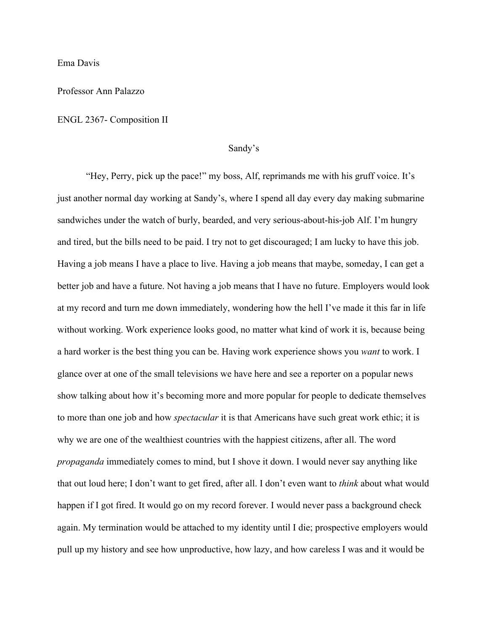Ema Davis

## Professor Ann Palazzo

#### ENGL 2367- Composition II

## Sandy's

"Hey, Perry, pick up the pace!" my boss, Alf, reprimands me with his gruff voice. It's just another normal day working at Sandy's, where I spend all day every day making submarine sandwiches under the watch of burly, bearded, and very serious-about-his-job Alf. I'm hungry and tired, but the bills need to be paid. I try not to get discouraged; I am lucky to have this job. Having a job means I have a place to live. Having a job means that maybe, someday, I can get a better job and have a future. Not having a job means that I have no future. Employers would look at my record and turn me down immediately, wondering how the hell I've made it this far in life without working. Work experience looks good, no matter what kind of work it is, because being a hard worker is the best thing you can be. Having work experience shows you *want* to work. I glance over at one of the small televisions we have here and see a reporter on a popular news show talking about how it's becoming more and more popular for people to dedicate themselves to more than one job and how *spectacular* it is that Americans have such great work ethic; it is why we are one of the wealthiest countries with the happiest citizens, after all. The word *propaganda* immediately comes to mind, but I shove it down. I would never say anything like that out loud here; I don't want to get fired, after all. I don't even want to *think* about what would happen if I got fired. It would go on my record forever. I would never pass a background check again. My termination would be attached to my identity until I die; prospective employers would pull up my history and see how unproductive, how lazy, and how careless I was and it would be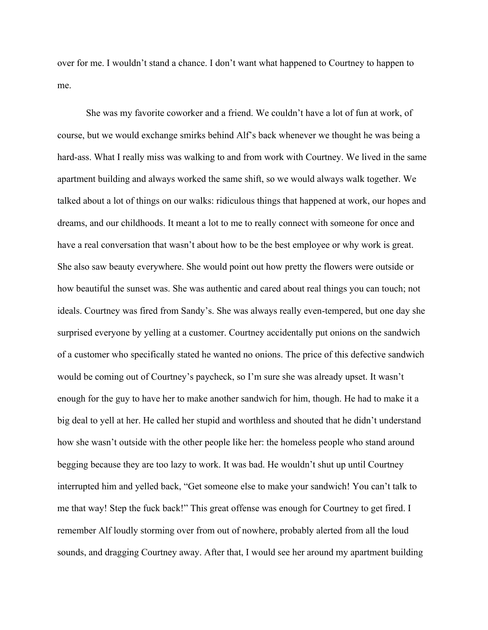over for me. I wouldn't stand a chance. I don't want what happened to Courtney to happen to me.

She was my favorite coworker and a friend. We couldn't have a lot of fun at work, of course, but we would exchange smirks behind Alf's back whenever we thought he was being a hard-ass. What I really miss was walking to and from work with Courtney. We lived in the same apartment building and always worked the same shift, so we would always walk together. We talked about a lot of things on our walks: ridiculous things that happened at work, our hopes and dreams, and our childhoods. It meant a lot to me to really connect with someone for once and have a real conversation that wasn't about how to be the best employee or why work is great. She also saw beauty everywhere. She would point out how pretty the flowers were outside or how beautiful the sunset was. She was authentic and cared about real things you can touch; not ideals. Courtney was fired from Sandy's. She was always really even-tempered, but one day she surprised everyone by yelling at a customer. Courtney accidentally put onions on the sandwich of a customer who specifically stated he wanted no onions. The price of this defective sandwich would be coming out of Courtney's paycheck, so I'm sure she was already upset. It wasn't enough for the guy to have her to make another sandwich for him, though. He had to make it a big deal to yell at her. He called her stupid and worthless and shouted that he didn't understand how she wasn't outside with the other people like her: the homeless people who stand around begging because they are too lazy to work. It was bad. He wouldn't shut up until Courtney interrupted him and yelled back, "Get someone else to make your sandwich! You can't talk to me that way! Step the fuck back!" This great offense was enough for Courtney to get fired. I remember Alf loudly storming over from out of nowhere, probably alerted from all the loud sounds, and dragging Courtney away. After that, I would see her around my apartment building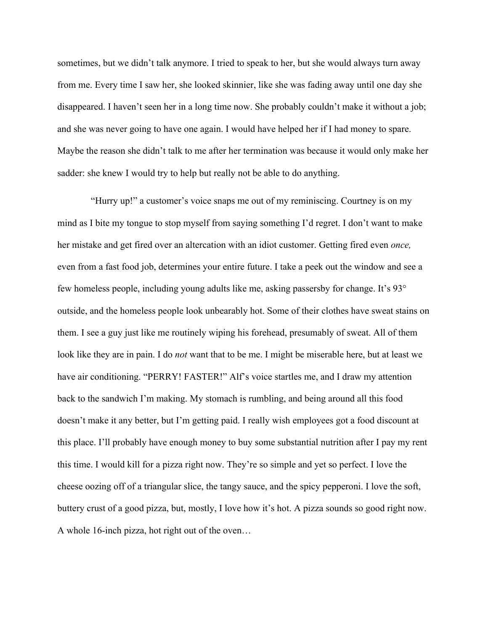sometimes, but we didn't talk anymore. I tried to speak to her, but she would always turn away from me. Every time I saw her, she looked skinnier, like she was fading away until one day she disappeared. I haven't seen her in a long time now. She probably couldn't make it without a job; and she was never going to have one again. I would have helped her if I had money to spare. Maybe the reason she didn't talk to me after her termination was because it would only make her sadder: she knew I would try to help but really not be able to do anything.

 "Hurry up!" a customer's voice snaps me out of my reminiscing. Courtney is on my mind as I bite my tongue to stop myself from saying something I'd regret. I don't want to make her mistake and get fired over an altercation with an idiot customer. Getting fired even *once,*  even from a fast food job, determines your entire future. I take a peek out the window and see a few homeless people, including young adults like me, asking passersby for change. It's 93° outside, and the homeless people look unbearably hot. Some of their clothes have sweat stains on them. I see a guy just like me routinely wiping his forehead, presumably of sweat. All of them look like they are in pain. I do *not* want that to be me. I might be miserable here, but at least we have air conditioning. "PERRY! FASTER!" Alf's voice startles me, and I draw my attention back to the sandwich I'm making. My stomach is rumbling, and being around all this food doesn't make it any better, but I'm getting paid. I really wish employees got a food discount at this place. I'll probably have enough money to buy some substantial nutrition after I pay my rent this time. I would kill for a pizza right now. They're so simple and yet so perfect. I love the cheese oozing off of a triangular slice, the tangy sauce, and the spicy pepperoni. I love the soft, buttery crust of a good pizza, but, mostly, I love how it's hot. A pizza sounds so good right now. A whole 16-inch pizza, hot right out of the oven…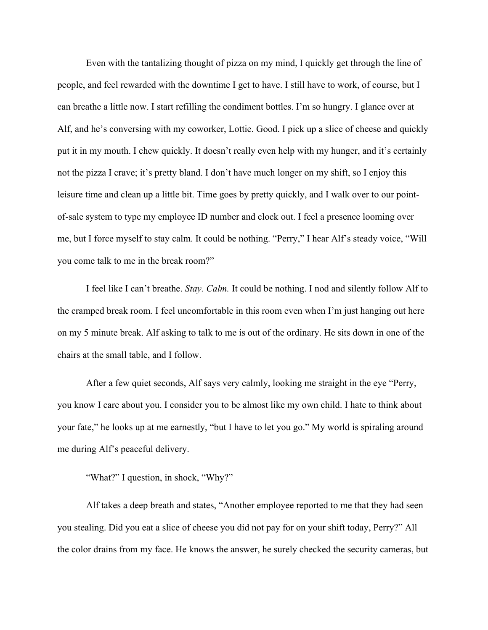Even with the tantalizing thought of pizza on my mind, I quickly get through the line of people, and feel rewarded with the downtime I get to have. I still have to work, of course, but I can breathe a little now. I start refilling the condiment bottles. I'm so hungry. I glance over at Alf, and he's conversing with my coworker, Lottie. Good. I pick up a slice of cheese and quickly put it in my mouth. I chew quickly. It doesn't really even help with my hunger, and it's certainly not the pizza I crave; it's pretty bland. I don't have much longer on my shift, so I enjoy this leisure time and clean up a little bit. Time goes by pretty quickly, and I walk over to our pointof-sale system to type my employee ID number and clock out. I feel a presence looming over me, but I force myself to stay calm. It could be nothing. "Perry," I hear Alf's steady voice, "Will you come talk to me in the break room?"

I feel like I can't breathe. *Stay. Calm.* It could be nothing. I nod and silently follow Alf to the cramped break room. I feel uncomfortable in this room even when I'm just hanging out here on my 5 minute break. Alf asking to talk to me is out of the ordinary. He sits down in one of the chairs at the small table, and I follow.

After a few quiet seconds, Alf says very calmly, looking me straight in the eye "Perry, you know I care about you. I consider you to be almost like my own child. I hate to think about your fate," he looks up at me earnestly, "but I have to let you go." My world is spiraling around me during Alf's peaceful delivery.

"What?" I question, in shock, "Why?"

Alf takes a deep breath and states, "Another employee reported to me that they had seen you stealing. Did you eat a slice of cheese you did not pay for on your shift today, Perry?" All the color drains from my face. He knows the answer, he surely checked the security cameras, but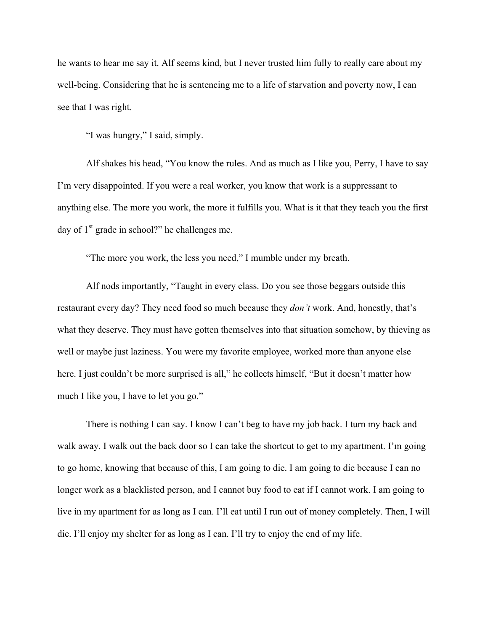he wants to hear me say it. Alf seems kind, but I never trusted him fully to really care about my well-being. Considering that he is sentencing me to a life of starvation and poverty now, I can see that I was right.

"I was hungry," I said, simply.

Alf shakes his head, "You know the rules. And as much as I like you, Perry, I have to say I'm very disappointed. If you were a real worker, you know that work is a suppressant to anything else. The more you work, the more it fulfills you. What is it that they teach you the first day of  $1<sup>st</sup>$  grade in school?" he challenges me.

"The more you work, the less you need," I mumble under my breath.

Alf nods importantly, "Taught in every class. Do you see those beggars outside this restaurant every day? They need food so much because they *don't* work. And, honestly, that's what they deserve. They must have gotten themselves into that situation somehow, by thieving as well or maybe just laziness. You were my favorite employee, worked more than anyone else here. I just couldn't be more surprised is all," he collects himself, "But it doesn't matter how much I like you, I have to let you go."

There is nothing I can say. I know I can't beg to have my job back. I turn my back and walk away. I walk out the back door so I can take the shortcut to get to my apartment. I'm going to go home, knowing that because of this, I am going to die. I am going to die because I can no longer work as a blacklisted person, and I cannot buy food to eat if I cannot work. I am going to live in my apartment for as long as I can. I'll eat until I run out of money completely. Then, I will die. I'll enjoy my shelter for as long as I can. I'll try to enjoy the end of my life.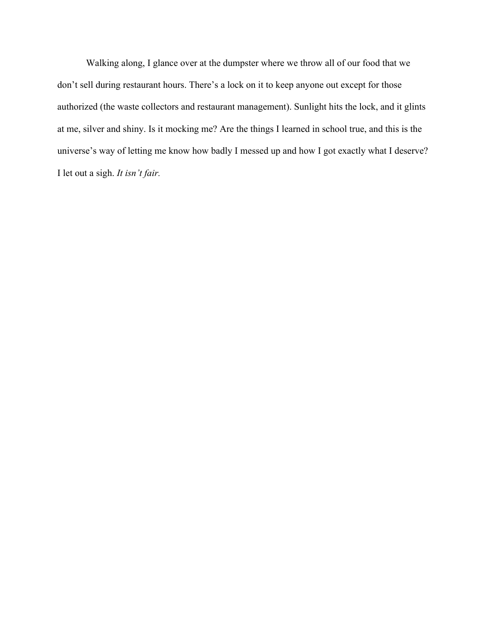Walking along, I glance over at the dumpster where we throw all of our food that we don't sell during restaurant hours. There's a lock on it to keep anyone out except for those authorized (the waste collectors and restaurant management). Sunlight hits the lock, and it glints at me, silver and shiny. Is it mocking me? Are the things I learned in school true, and this is the universe's way of letting me know how badly I messed up and how I got exactly what I deserve? I let out a sigh. *It isn't fair.*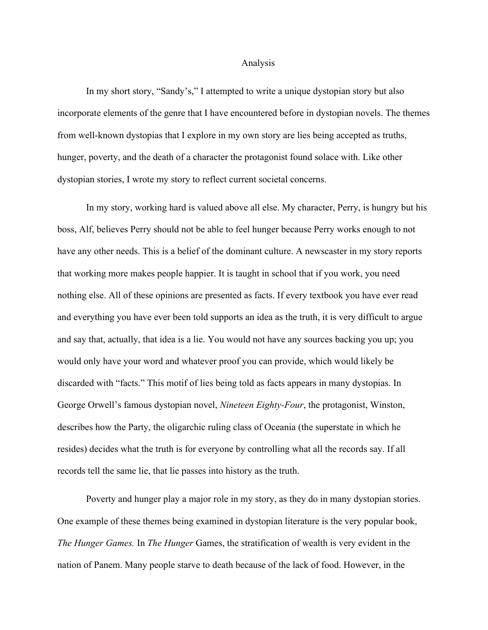#### Analysis

In my short story, "Sandy's," I attempted to write a unique dystopian story but also incorporate elements of the genre that I have encountered before in dystopian novels. The themes from well-known dystopias that I explore in my own story are lies being accepted as truths, hunger, poverty, and the death of a character the protagonist found solace with. Like other dystopian stories, I wrote my story to reflect current societal concerns.

In my story, working hard is valued above all else. My character, Perry, is hungry but his boss, Alf, believes Perry should not be able to feel hunger because Perry works enough to not have any other needs. This is a belief of the dominant culture. A newscaster in my story reports that working more makes people happier. It is taught in school that if you work, you need nothing else. All of these opinions are presented as facts. If every textbook you have ever read and everything you have ever been told supports an idea as the truth, it is very difficult to argue and say that, actually, that idea is a lie. You would not have any sources backing you up; you would only have your word and whatever proof you can provide, which would likely be discarded with "facts." This motif of lies being told as facts appears in many dystopias. In George Orwell's famous dystopian novel, *Nineteen Eighty-Four*, the protagonist, Winston, describes how the Party, the oligarchic ruling class of Oceania (the superstate in which he resides) decides what the truth is for everyone by controlling what all the records say. If all records tell the same lie, that lie passes into history as the truth.

Poverty and hunger play a major role in my story, as they do in many dystopian stories. One example of these themes being examined in dystopian literature is the very popular book, *The Hunger Games.* In *The Hunger* Games, the stratification of wealth is very evident in the nation of Panem. Many people starve to death because of the lack of food. However, in the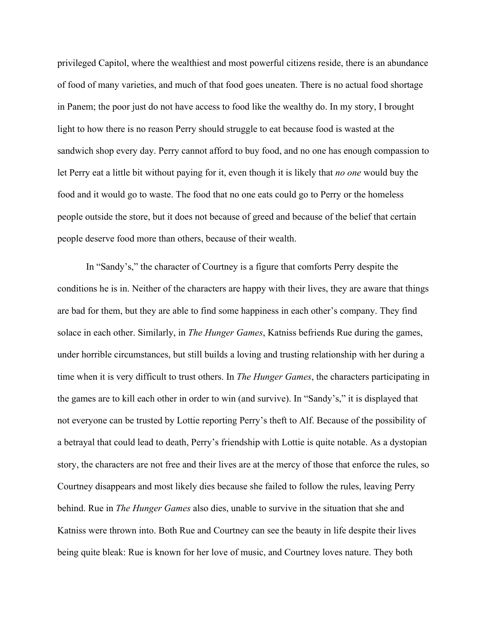privileged Capitol, where the wealthiest and most powerful citizens reside, there is an abundance of food of many varieties, and much of that food goes uneaten. There is no actual food shortage in Panem; the poor just do not have access to food like the wealthy do. In my story, I brought light to how there is no reason Perry should struggle to eat because food is wasted at the sandwich shop every day. Perry cannot afford to buy food, and no one has enough compassion to let Perry eat a little bit without paying for it, even though it is likely that *no one* would buy the food and it would go to waste. The food that no one eats could go to Perry or the homeless people outside the store, but it does not because of greed and because of the belief that certain people deserve food more than others, because of their wealth.

In "Sandy's," the character of Courtney is a figure that comforts Perry despite the conditions he is in. Neither of the characters are happy with their lives, they are aware that things are bad for them, but they are able to find some happiness in each other's company. They find solace in each other. Similarly, in *The Hunger Games*, Katniss befriends Rue during the games, under horrible circumstances, but still builds a loving and trusting relationship with her during a time when it is very difficult to trust others. In *The Hunger Games*, the characters participating in the games are to kill each other in order to win (and survive). In "Sandy's," it is displayed that not everyone can be trusted by Lottie reporting Perry's theft to Alf. Because of the possibility of a betrayal that could lead to death, Perry's friendship with Lottie is quite notable. As a dystopian story, the characters are not free and their lives are at the mercy of those that enforce the rules, so Courtney disappears and most likely dies because she failed to follow the rules, leaving Perry behind. Rue in *The Hunger Games* also dies, unable to survive in the situation that she and Katniss were thrown into. Both Rue and Courtney can see the beauty in life despite their lives being quite bleak: Rue is known for her love of music, and Courtney loves nature. They both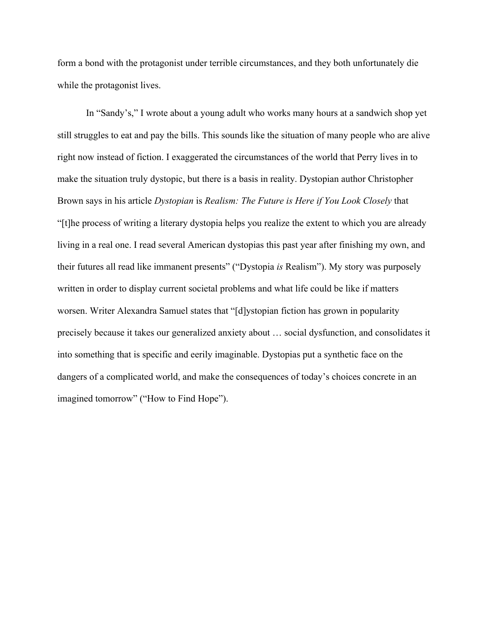form a bond with the protagonist under terrible circumstances, and they both unfortunately die while the protagonist lives.

In "Sandy's," I wrote about a young adult who works many hours at a sandwich shop yet still struggles to eat and pay the bills. This sounds like the situation of many people who are alive right now instead of fiction. I exaggerated the circumstances of the world that Perry lives in to make the situation truly dystopic, but there is a basis in reality. Dystopian author Christopher Brown says in his article *Dystopian* is *Realism: The Future is Here if You Look Closely* that "[t]he process of writing a literary dystopia helps you realize the extent to which you are already living in a real one. I read several American dystopias this past year after finishing my own, and their futures all read like immanent presents" ("Dystopia *is* Realism"). My story was purposely written in order to display current societal problems and what life could be like if matters worsen. Writer Alexandra Samuel states that "[d]ystopian fiction has grown in popularity precisely because it takes our generalized anxiety about … social dysfunction, and consolidates it into something that is specific and eerily imaginable. Dystopias put a synthetic face on the dangers of a complicated world, and make the consequences of today's choices concrete in an imagined tomorrow" ("How to Find Hope").